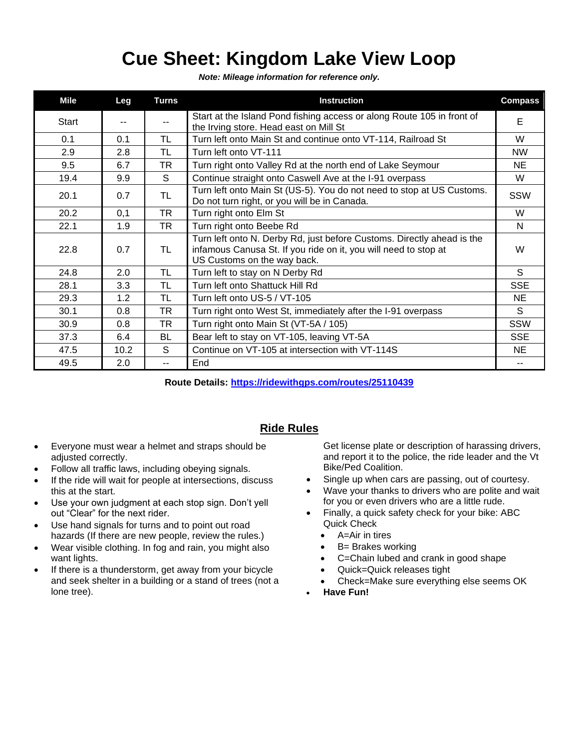## **Cue Sheet: Kingdom Lake View Loop**

*Note: Mileage information for reference only.*

| Mile  | Leg  | <b>Turns</b>  | <b>Instruction</b>                                                                                                                                                       | <b>Compass</b> |
|-------|------|---------------|--------------------------------------------------------------------------------------------------------------------------------------------------------------------------|----------------|
| Start | --   | $\sim$ $\sim$ | Start at the Island Pond fishing access or along Route 105 in front of<br>the Irving store. Head east on Mill St                                                         | E              |
| 0.1   | 0.1  | TL.           | Turn left onto Main St and continue onto VT-114, Railroad St                                                                                                             | W              |
| 2.9   | 2.8  | TL            | Turn left onto VT-111                                                                                                                                                    | <b>NW</b>      |
| 9.5   | 6.7  | <b>TR</b>     | Turn right onto Valley Rd at the north end of Lake Seymour                                                                                                               | NE             |
| 19.4  | 9.9  | S.            | Continue straight onto Caswell Ave at the I-91 overpass                                                                                                                  | W              |
| 20.1  | 0.7  | TL            | Turn left onto Main St (US-5). You do not need to stop at US Customs.<br>Do not turn right, or you will be in Canada.                                                    | SSW            |
| 20.2  | 0,1  | <b>TR</b>     | Turn right onto Elm St                                                                                                                                                   | W              |
| 22.1  | 1.9  | TR            | Turn right onto Beebe Rd                                                                                                                                                 | N              |
| 22.8  | 0.7  | TL            | Turn left onto N. Derby Rd, just before Customs. Directly ahead is the<br>infamous Canusa St. If you ride on it, you will need to stop at<br>US Customs on the way back. | W              |
| 24.8  | 2.0  | TL            | Turn left to stay on N Derby Rd                                                                                                                                          | S              |
| 28.1  | 3.3  | TL.           | Turn left onto Shattuck Hill Rd                                                                                                                                          | <b>SSE</b>     |
| 29.3  | 1.2  | TL            | Turn left onto US-5 / VT-105                                                                                                                                             | NE             |
| 30.1  | 0.8  | TR.           | Turn right onto West St, immediately after the I-91 overpass                                                                                                             | S.             |
| 30.9  | 0.8  | TR            | Turn right onto Main St (VT-5A / 105)                                                                                                                                    | <b>SSW</b>     |
| 37.3  | 6.4  | <b>BL</b>     | Bear left to stay on VT-105, leaving VT-5A                                                                                                                               | <b>SSE</b>     |
| 47.5  | 10.2 | S             | Continue on VT-105 at intersection with VT-114S                                                                                                                          | NE             |
| 49.5  | 2.0  | $-$           | End                                                                                                                                                                      |                |

**Route Details:<https://ridewithgps.com/routes/25110439>**

## **Ride Rules**

- Everyone must wear a helmet and straps should be adjusted correctly.
- Follow all traffic laws, including obeying signals.
- If the ride will wait for people at intersections, discuss this at the start.
- Use your own judgment at each stop sign. Don't yell out "Clear" for the next rider.
- Use hand signals for turns and to point out road hazards (If there are new people, review the rules.)
- Wear visible clothing. In fog and rain, you might also want lights.
- If there is a thunderstorm, get away from your bicycle and seek shelter in a building or a stand of trees (not a lone tree).

Get license plate or description of harassing drivers, and report it to the police, the ride leader and the Vt Bike/Ped Coalition.

- Single up when cars are passing, out of courtesy.
- Wave your thanks to drivers who are polite and wait for you or even drivers who are a little rude.
- Finally, a quick safety check for your bike: ABC Quick Check
	- A=Air in tires
	- B= Brakes working
	- C=Chain lubed and crank in good shape
	- Quick=Quick releases tight
	- Check=Make sure everything else seems OK
- **Have Fun!**